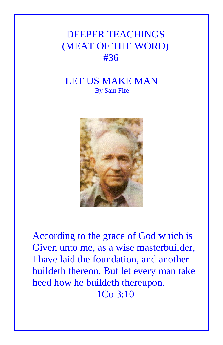## DEEPER TEACHINGS (MEAT OF THE WORD) #36

## LET US MAKE MAN By Sam Fife



According to the grace of God which is Given unto me, as a wise masterbuilder, I have laid the foundation, and another buildeth thereon. But let every man take heed how he buildeth thereupon. 1Co 3:10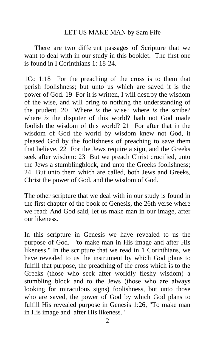## LET US MAKE MAN by Sam Fife

There are two different passages of Scripture that we want to deal with in our study in this booklet. The first one is found in I Corinthians 1: 18-24.

1Co 1:18 For the preaching of the cross is to them that perish foolishness; but unto us which are saved it is the power of God. 19 For it is written, I will destroy the wisdom of the wise, and will bring to nothing the understanding of the prudent. 20 Where *is* the wise? where *is* the scribe? where *is* the disputer of this world? hath not God made foolish the wisdom of this world? 21 For after that in the wisdom of God the world by wisdom knew not God, it pleased God by the foolishness of preaching to save them that believe. 22 For the Jews require a sign, and the Greeks seek after wisdom: 23 But we preach Christ crucified, unto the Jews a stumblingblock, and unto the Greeks foolishness; 24 But unto them which are called, both Jews and Greeks, Christ the power of God, and the wisdom of God.

The other scripture that we deal with in our study is found in the first chapter of the book of Genesis, the 26th verse where we read: And God said, let us make man in our image, after our likeness.

In this scripture in Genesis we have revealed to us the purpose of God. "to make man in His image and after His likeness." In the scripture that we read in 1 Corinthians, we have revealed to us the instrument by which God plans to fulfill that purpose, the preaching of the cross which is to the Greeks (those who seek after worldly fleshy wisdom) a stumbling block and to the Jews (those who are always looking for miraculous signs) foolishness, but unto those who are saved, the power of God by which God plans to fulfill His revealed purpose in Genesis 1:26, "To make man in His image and after His likeness."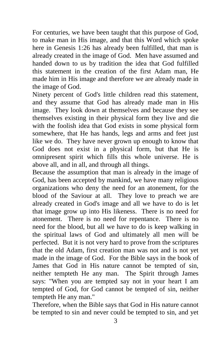For centuries, we have been taught that this purpose of God, to make man in His image, and that this Word which spoke here in Genesis 1:26 has already been fulfilled, that man is already created in the image of God. Men have assumed and handed down to us by tradition the idea that God fulfilled this statement in the creation of the first Adam man, He made him in His image and therefore we are already made in the image of God.

Ninety percent of God's little children read this statement, and they assume that God has already made man in His image. They look down at themselves and because they see themselves existing in their physical form they live and die with the foolish idea that God exists in some physical form somewhere, that He has hands, legs and arms and feet just like we do. They have never grown up enough to know that God does not exist in a physical form, but that He is omnipresent spirit which fills this whole universe. He is above all, and in all, and through all things.

Because the assumption that man is already in the image of God, has been accepted by mankind, we have many religious organizations who deny the need for an atonement, for the blood of the Saviour at all. They love to preach we are already created in God's image and all we have to do is let that image grow up into His likeness. There is no need for atonement. There is no need for repentance. There is no need for the blood, but all we have to do is keep walking in the spiritual laws of God and ultimately all men will be perfected. But it is not very hard to prove from the scriptures that the old Adam, first creation man was not and is not yet made in the image of God. For the Bible says in the book of James that God in His nature cannot be tempted of sin, neither tempteth He any man. The Spirit through James says: "When you are tempted say not in your heart I am tempted of God, for God cannot be tempted of sin, neither tempteth He any man."

Therefore, when the Bible says that God in His nature cannot be tempted to sin and never could be tempted to sin, and yet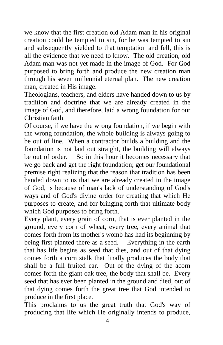we know that the first creation old Adam man in his original creation could be tempted to sin, for he was tempted to sin and subsequently yielded to that temptation and fell, this is all the evidence that we need to know. The old creation, old Adam man was not yet made in the image of God. For God purposed to bring forth and produce the new creation man through his seven millennial eternal plan. The new creation man, created in His image.

Theologians, teachers, and elders have handed down to us by tradition and doctrine that we are already created in the image of God, and therefore, laid a wrong foundation for our Christian faith.

Of course, if we have the wrong foundation, if we begin with the wrong foundation, the whole building is always going to be out of line. When a contractor builds a building and the foundation is not laid out straight, the building will always be out of order. So in this hour it becomes necessary that we go back and get the right foundation; get our foundational premise right realizing that the reason that tradition has been handed down to us that we are already created in the image of God, is because of man's lack of understanding of God's ways and of God's divine order for creating that which He purposes to create, and for bringing forth that ultimate body which God purposes to bring forth.

Every plant, every grain of corn, that is ever planted in the ground, every corn of wheat, every tree, every animal that comes forth from its mother's womb has had its beginning by being first planted there as a seed. Everything in the earth that has life begins as seed that dies, and out of that dying comes forth a corn stalk that finally produces the body that shall be a full fruited ear. Out of the dying of the acorn comes forth the giant oak tree, the body that shall be. Every seed that has ever been planted in the ground and died, out of that dying comes forth the great tree that God intended to produce in the first place.

This proclaims to us the great truth that God's way of producing that life which He originally intends to produce,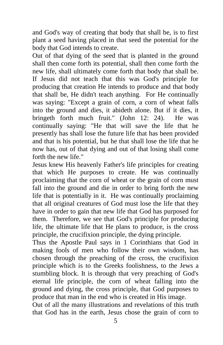and God's way of creating that body that shall be, is to first plant a seed having placed in that seed the potential for the body that God intends to create.

Out of that dying of the seed that is planted in the ground shall then come forth its potential, shall then come forth the new life, shall ultimately come forth that body that shall be. If Jesus did not teach that this was God's principle for producing that creation He intends to produce and that body that shall be, He didn't teach anything. For He continually was saying: "Except a grain of corn, a corn of wheat falls into the ground and dies, it abideth alone. But if it dies, it bringeth forth much fruit." (John 12: 24). He was continually saying: "He that will save the life that he presently has shall lose the future life that has been provided and that is his potential, but he that shall lose the life that he now has, out of that dying and out of that losing shall come forth the new life."

Jesus knew His heavenly Father's life principles for creating that which He purposes to create. He was continually proclaiming that the corn of wheat or the grain of corn must fall into the ground and die in order to bring forth the new life that is potentially in it. He was continually proclaiming that all original creatures of God must lose the life that they have in order to gain that new life that God has purposed for them. Therefore, we see that God's principle for producing life, the ultimate life that He plans to produce, is the cross principle, the crucifixion principle, the dying principle.

Thus the Apostle Paul says in 1 Corinthians that God in making fools of men who follow their own wisdom, has chosen through the preaching of the cross, the crucifixion principle which is to the Greeks foolishness, to the Jews a stumbling block. It is through that very preaching of God's eternal life principle, the corn of wheat falling into the ground and dying, the cross principle, that God purposes to produce that man in the end who is created in His image.

Out of all the many illustrations and revelations of this truth that God has in the earth, Jesus chose the grain of corn to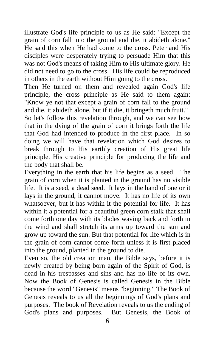illustrate God's life principle to us as He said: "Except the grain of corn fall into the ground and die, it abideth alone." He said this when He had come to the cross. Peter and His disciples were desperately trying to persuade Him that this was not God's means of taking Him to His ultimate glory. He did not need to go to the cross. His life could be reproduced in others in the earth without Him going to the cross.

Then He turned on them and revealed again God's life principle, the cross principle as He said to them again: "Know ye not that except a grain of corn fall to the ground and die, it abideth alone, but if it die, it bringeth much fruit."

So let's follow this revelation through, and we can see how that in the dying of the grain of corn it brings forth the life that God had intended to produce in the first place. In so doing we will have that revelation which God desires to break through to His earthly creation of His great life principle, His creative principle for producing the life and the body that shall be.

Everything in the earth that his life begins as a seed. The grain of corn when it is planted in the ground has no visible life. It is a seed, a dead seed. It lays in the hand of one or it lays in the ground, it cannot move. It has no life of its own whatsoever, but it has within it the potential for life. It has within it a potential for a beautiful green corn stalk that shall come forth one day with its blades waving back and forth in the wind and shall stretch its arms up toward the sun and grow up toward the sun. But that potential for life which is in the grain of corn cannot come forth unless it is first placed into the ground, planted in the ground to die.

Even so, the old creation man, the Bible says, before it is newly created by being born again of the Spirit of God, is dead in his trespasses and sins and has no life of its own. Now the Book of Genesis is called Genesis in the Bible because the word "Genesis" means "beginning." The Book of Genesis reveals to us all the beginnings of God's plans and purposes. The book of Revelation reveals to us the ending of God's plans and purposes. But Genesis, the Book of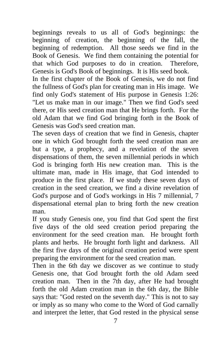beginnings reveals to us all of God's beginnings: the beginning of creation, the beginning of the fall, the beginning of redemption. All those seeds we find in the Book of Genesis. We find them containing the potential for that which God purposes to do in creation. Therefore, Genesis is God's Book of beginnings. It is His seed book.

In the first chapter of the Book of Genesis, we do not find the fullness of God's plan for creating man in His image. We find only God's statement of His purpose in Genesis 1:26: "Let us make man in our image." Then we find God's seed there, or His seed creation man that He brings forth. For the old Adam that we find God bringing forth in the Book of Genesis was God's seed creation man.

The seven days of creation that we find in Genesis, chapter one in which God brought forth the seed creation man are but a type, a prophecy, and a revelation of the seven dispensations of them, the seven millennial periods in which God is bringing forth His new creation man. This is the ultimate man, made in His image, that God intended to produce in the first place. If we study these seven days of creation in the seed creation, we find a divine revelation of God's purpose and of God's workings in His 7 millennial, 7 dispensational eternal plan to bring forth the new creation man.

If you study Genesis one, you find that God spent the first five days of the old seed creation period preparing the environment for the seed creation man. He brought forth plants and herbs. He brought forth light and darkness. All the first five days of the original creation period were spent preparing the environment for the seed creation man.

Then in the 6th day we discover as we continue to study Genesis one, that God brought forth the old Adam seed creation man. Then in the 7th day, after He had brought forth the old Adam creation man in the 6th day, the Bible says that: "God rested on the seventh day." This is not to say or imply as so many who come to the Word of God carnally and interpret the letter, that God rested in the physical sense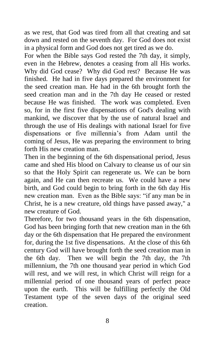as we rest, that God was tired from all that creating and sat down and rested on the seventh day. For God does not exist in a physical form and God does not get tired as we do.

For when the Bible says God rested the 7th day, it simply, even in the Hebrew, denotes a ceasing from all His works. Why did God cease? Why did God rest? Because He was finished. He had in five days prepared the environment for the seed creation man. He had in the 6th brought forth the seed creation man and in the 7th day He ceased or rested because He was finished. The work was completed. Even so, for in the first five dispensations of God's dealing with mankind, we discover that by the use of natural Israel and through the use of His dealings with national Israel for five dispensations or five millennia's from Adam until the coming of Jesus, He was preparing the environment to bring forth His new creation man.

Then in the beginning of the 6th dispensational period, Jesus came and shed His blood on Calvary to cleanse us of our sin so that the Holy Spirit can regenerate us. We can be born again, and He can then recreate us. We could have a new birth, and God could begin to bring forth in the 6th day His new creation man. Even as the Bible says: "if any man be in Christ, he is a new creature, old things have passed away," a new creature of God.

Therefore, for two thousand years in the 6th dispensation, God has been bringing forth that new creation man in the 6th day or the 6th dispensation that He prepared the environment for, during the 1st five dispensations. At the close of this 6th century God will have brought forth the seed creation man in the 6th day. Then we will begin the 7th day, the 7th millennium, the 7th one thousand year period in which God will rest, and we will rest, in which Christ will reign for a millennial period of one thousand years of perfect peace upon the earth. This will be fulfilling perfectly the Old Testament type of the seven days of the original seed creation.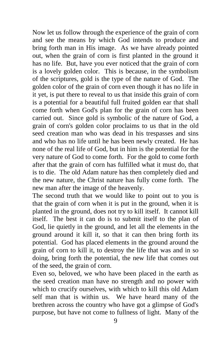Now let us follow through the experience of the grain of corn and see the means by which God intends to produce and bring forth man in His image. As we have already pointed out, when the grain of corn is first planted in the ground it has no life. But, have you ever noticed that the grain of corn is a lovely golden color. This is because, in the symbolism of the scriptures, gold is the type of the nature of God. The golden color of the grain of corn even though it has no life in it yet, is put there to reveal to us that inside this grain of corn is a potential for a beautiful full fruited golden ear that shall come forth when God's plan for the grain of corn has been carried out. Since gold is symbolic of the nature of God, a grain of corn's golden color proclaims to us that in the old seed creation man who was dead in his trespasses and sins and who has no life until he has been newly created. He has none of the real life of God, but in him is the potential for the very nature of God to come forth. For the gold to come forth after that the grain of corn has fulfilled what it must do, that is to die. The old Adam nature has then completely died and the new nature, the Christ nature has fully come forth. The new man after the image of the heavenly.

The second truth that we would like to point out to you is that the grain of corn when it is put in the ground, when it is planted in the ground, does not try to kill itself. It cannot kill itself. The best it can do is to submit itself to the plan of God, lie quietly in the ground, and let all the elements in the ground around it kill it, so that it can then bring forth its potential. God has placed elements in the ground around the grain of corn to kill it, to destroy the life that was and in so doing, bring forth the potential, the new life that comes out of the seed, the grain of corn.

Even so, beloved, we who have been placed in the earth as the seed creation man have no strength and no power with which to crucify ourselves, with which to kill this old Adam self man that is within us. We have heard many of the brethren across the country who have got a glimpse of God's purpose, but have not come to fullness of light. Many of the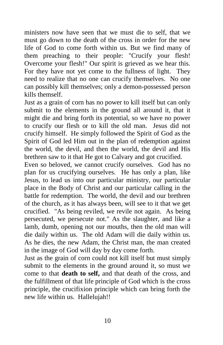ministers now have seen that we must die to self, that we must go down to the death of the cross in order for the new life of God to come forth within us. But we find many of them preaching to their people: "Crucify your flesh! Overcome your flesh!" Our spirit is grieved as we hear this. For they have not yet come to the fullness of light. They need to realize that no one can crucify themselves. No one can possibly kill themselves; only a demon-possessed person kills themself.

Just as a grain of corn has no power to kill itself but can only submit to the elements in the ground all around it, that it might die and bring forth its potential, so we have no power to crucify our flesh or to kill the old man. Jesus did not crucify himself. He simply followed the Spirit of God as the Spirit of God led Him out in the plan of redemption against the world, the devil, and then the world, the devil and His brethren saw to it that He got to Calvary and got crucified.

Even so beloved, we cannot crucify ourselves. God has no plan for us crucifying ourselves. He has only a plan, like Jesus, to lead us into our particular ministry, our particular place in the Body of Christ and our particular calling in the battle for redemption. The world, the devil and our brethren of the church, as it has always been, will see to it that we get crucified. "As being reviled, we revile not again. As being persecuted, we persecute not." As the slaughter, and like a lamb, dumb, opening not our mouths, then the old man will die daily within us. The old Adam will die daily within us. As he dies, the new Adam, the Christ man, the man created in the image of God will day by day come forth.

Just as the grain of corn could not kill itself but must simply submit to the elements in the ground around it, so must we come to that **death to self,** and that death of the cross, and the fulfillment of that life principle of God which is the cross principle, the crucifixion principle which can bring forth the new life within us. Hallelujah!!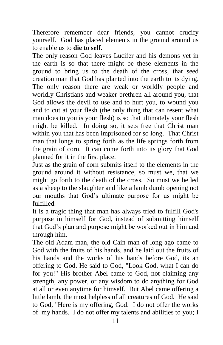Therefore remember dear friends, you cannot crucify yourself. God has placed elements in the ground around us to enable us to **die to self**.

The only reason God leaves Lucifer and his demons yet in the earth is so that there might be these elements in the ground to bring us to the death of the cross, that seed creation man that God has planted into the earth to its dying. The only reason there are weak or worldly people and worldly Christians and weaker brethren all around you, that God allows the devil to use and to hurt you, to wound you and to cut at your flesh (the only thing that can resent what man does to you is your flesh) is so that ultimately your flesh might be killed. In doing so, it sets free that Christ man within you that has been imprisoned for so long. That Christ man that longs to spring forth as the life springs forth from the grain of corn. It can come forth into its glory that God planned for it in the first place.

Just as the grain of corn submits itself to the elements in the ground around it without resistance, so must we, that we might go forth to the death of the cross. So must we be led as a sheep to the slaughter and like a lamb dumb opening not our mouths that God's ultimate purpose for us might be fulfilled.

It is a tragic thing that man has always tried to fulfill God's purpose in himself for God, instead of submitting himself that God's plan and purpose might be worked out in him and through him.

The old Adam man, the old Cain man of long ago came to God with the fruits of his hands, and he laid out the fruits of his hands and the works of his hands before God, its an offering to God. He said to God, "Look God, what I can do for you!" His brother Abel came to God, not claiming any strength, any power, or any wisdom to do anything for God at all or even anytime for himself. But Abel came offering a little lamb, the most helpless of all creatures of God. He said to God, "Here is my offering, God. I do not offer the works of my hands. I do not offer my talents and abilities to you; I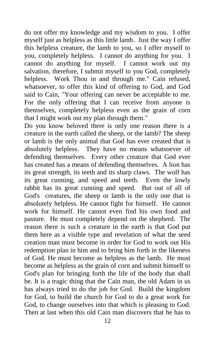do not offer my knowledge and my wisdom to you. I offer myself just as helpless as this little lamb. Just the way I offer this helpless creature, the lamb to you, so I offer myself to you, completely helpless. I cannot do anything for you. I cannot do anything for myself. I cannot work out my salvation, therefore, I submit myself to you God, completely helpless. Work Thou in and through me." Cain refused, whatsoever, to offer this kind of offering to God, and God said to Cain, "Your offering can never be acceptable to me. For the only offering that I can receive from anyone is themselves, completely helpless even as the grain of corn that I might work out my plan through them."

Do you know beloved there is only one reason there is a creature in the earth called the sheep, or the lamb? The sheep or lamb is the only animal that God has ever created that is absolutely helpless. They have no means whatsoever of defending themselves. Every other creature that God ever has created has a means of defending themselves. A lion has its great strength, its teeth and its sharp claws. The wolf has its great cunning, and speed and teeth. Even the lowly rabbit has its great cunning and speed. But out of all of God's creatures, the sheep or lamb is the only one that is absolutely helpless. He cannot fight for himself. He cannot work for himself. He cannot even find his own food and pasture. He must completely depend on the shepherd. The reason there is such a creature in the earth is that God put them here as a visible type and revelation of what the seed creation man must become in order for God to work out His redemption plan in him and to bring him forth in the likeness of God. He must become as helpless as the lamb. He must become as helpless as the grain of corn and submit himself to God's plan for bringing forth the life of the body that shall be. It is a tragic thing that the Cain man, the old Adam in us has always tried to do the job for God. Build the kingdom for God, to build the church for God to do a great work for God, to change ourselves into that which is pleasing to God. Then at last when this old Cain man discovers that he has to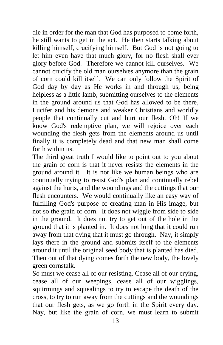die in order for the man that God has purposed to come forth, he still wants to get in the act. He then starts talking about killing himself, crucifying himself. But God is not going to let him even have that much glory, for no flesh shall ever glory before God. Therefore we cannot kill ourselves. We cannot crucify the old man ourselves anymore than the grain of corn could kill itself. We can only follow the Spirit of God day by day as He works in and through us, being helpless as a little lamb, submitting ourselves to the elements in the ground around us that God has allowed to be there, Lucifer and his demons and weaker Christians and worldly people that continually cut and hurt our flesh. Oh! If we know God's redemptive plan, we will rejoice over each wounding the flesh gets from the elements around us until finally it is completely dead and that new man shall come forth within us.

The third great truth I would like to point out to you about the grain of corn is that it never resists the elements in the ground around it. It is not like we human beings who are continually trying to resist God's plan and continually rebel against the hurts, and the woundings and the cuttings that our flesh encounters. We would continually like an easy way of fulfilling God's purpose of creating man in His image, but not so the grain of corn. It does not wiggle from side to side in the ground. It does not try to get out of the hole in the ground that it is planted in. It does not long that it could run away from that dying that it must go through. Nay, it simply lays there in the ground and submits itself to the elements around it until the original seed body that is planted has died. Then out of that dying comes forth the new body, the lovely green cornstalk.

So must we cease all of our resisting. Cease all of our crying, cease all of our weepings, cease all of our wigglings, squirmings and squealings to try to escape the death of the cross, to try to run away from the cuttings and the woundings that our flesh gets, as we go forth in the Spirit every day. Nay, but like the grain of corn, we must learn to submit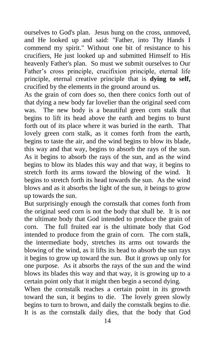ourselves to God's plan. Jesus hung on the cross, unmoved, and He looked up and said: "Father, into Thy Hands I commend my spirit." Without one bit of resistance to his crucifiers, He just looked up and submitted Himself to His heavenly Father's plan. So must we submit ourselves to Our Father's cross principle, crucifixion principle, eternal life principle, eternal creative principle that is **dying to self,** crucified by the elements in the ground around us.

As the grain of corn does so, then there conics forth out of that dying a new body far lovelier than the original seed corn was. The new body is a beautiful green corn stalk that begins to lift its head above the earth and begins to burst forth out of its place where it was buried in the earth. That lovely green corn stalk, as it comes forth from the earth, begins to taste the air, and the wind begins to blow its blade, this way and that way, begins to absorb the rays of the sun. As it begins to absorb the rays of the sun, and as the wind begins to blow its blades this way and that way, it begins to stretch forth its arms toward the blowing of the wind. It begins to stretch forth its head towards the sun. As the wind blows and as it absorbs the light of the sun, it beings to grow up towards the sun.

But surprisingly enough the cornstalk that comes forth from the original seed corn is not the body that shall be. It is not the ultimate body that God intended to produce the grain of corn. The full fruited ear is the ultimate body that God intended to produce from the grain of corn. The corn stalk, the intermediate body, stretches its arms out towards the blowing of the wind, as it lifts its head to absorb the sun rays it begins to grow up toward the sun. But it grows up only for one purpose. As it absorbs the rays of the sun and the wind blows its blades this way and that way, it is growing up to a certain point only that it might then begin a second dying.

When the cornstalk reaches a certain point in its growth toward the sun, it begins to die. The lovely green slowly begins to turn to brown, and daily the cornstalk begins to die. It is as the cornstalk daily dies, that the body that God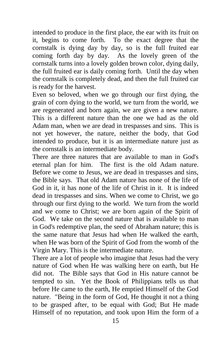intended to produce in the first place, the ear with its fruit on it, begins to come forth. To the exact degree that the cornstalk is dying day by day, so is the full fruited ear coming forth day by day. As the lovely green of the cornstalk turns into a lovely golden brown color, dying daily, the full fruited ear is daily coming forth. Until the day when the cornstalk is completely dead, and then the full fruited car is ready for the harvest.

Even so beloved, when we go through our first dying, the grain of corn dying to the world, we turn from the world, we are regenerated and born again, we are given a new nature. This is a different nature than the one we had as the old Adam man, when we are dead in trespasses and sins. This is not yet however, the nature, neither the body, that God intended to produce, but it is an intermediate nature just as the cornstalk is an intermediate body.

There are three natures that are available to man in God's eternal plan for him. The first is the old Adam nature. Before we come to Jesus, we are dead in trespasses and sins, the Bible says. That old Adam nature has none of the life of God in it, it has none of the life of Christ in it. It is indeed dead in trespasses and sins. When we come to Christ, we go through our first dying to the world. We turn from the world and we come to Christ; we are born again of the Spirit of God. We take on the second nature that is available to man in God's redemptive plan, the seed of Abraham nature; this is the same nature that Jesus had when He walked the earth, when He was born of the Spirit of God from the womb of the Virgin Mary. This is the intermediate nature.

There are a lot of people who imagine that Jesus had the very nature of God when He was walking here on earth, but He did not. The Bible says that God in His nature cannot be tempted to sin. Yet the Book of Philippians tells us that before He came to the earth, He emptied Himself of the God nature. "Being in the form of God, He thought it not a thing to be grasped after, to be equal with God; But He made Himself of no reputation, and took upon Him the form of a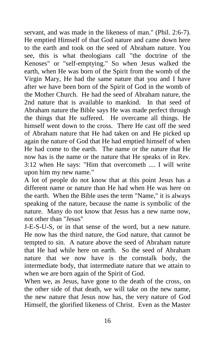servant, and was made in the likeness of man." (Phil. 2:6-7). He emptied Himself of that God nature and came down here to the earth and took on the seed of Abraham nature. You see, this is what theologians call "the doctrine of the Kenoses" or "self-emptying." So when Jesus walked the earth, when He was born of the Spirit from the womb of the Virgin Mary, He had the same nature that you and I have after we have been born of the Spirit of God in the womb of the Mother Church. He had the seed of Abraham nature, the 2nd nature that is available to mankind. In that seed of Abraham nature the Bible says He was made perfect through the things that He suffered. He overcame all things. He himself went down to the cross. There He cast off the seed of Abraham nature that He had taken on and He picked up again the nature of God that He had emptied himself of when He had come to the earth. The name or the nature that He now has is the name or the nature that He speaks of in Rev. 3:12 when He says: "Him that overcometh .... I will write upon him my new name."

A lot of people do not know that at this point Jesus has a different name or nature than He had when He was here on the earth. When the Bible uses the term "Name," it is always speaking of the nature, because the name is symbolic of the nature. Many do not know that Jesus has a new name now, not other than "Jesus"

J-E-S-U-S, or in that sense of the word, but a new nature. He now has the third nature, the God nature, that cannot be tempted to sin. A nature above the seed of Abraham nature that He had while here on earth. So the seed of Abraham nature that we now have is the cornstalk body, the intermediate body, that intermediate nature that we attain to when we are born again of the Spirit of God.

When we, as Jesus, have gone to the death of the cross, on the other side of that death, we will take on the new name, the new nature that Jesus now has, the very nature of God Himself, the glorified likeness of Christ. Even as the Master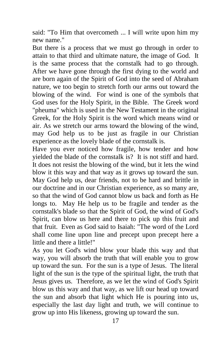said: "To Him that overcometh ... I will write upon him my new name."

But there is a process that we must go through in order to attain to that third and ultimate nature, the image of God. It is the same process that the cornstalk had to go through. After we have gone through the first dying to the world and are born again of the Spirit of God into the seed of Abraham nature, we too begin to stretch forth our arms out toward the blowing of the wind. For wind is one of the symbols that God uses for the Holy Spirit, in the Bible. The Greek word "pheuma" which is used in the New Testament in the original Greek, for the Holy Spirit is the word which means wind or air. As we stretch our arms toward the blowing of the wind, may God help us to be just as fragile in our Christian experience as the lovely blade of the cornstalk is.

Have you ever noticed how fragile, how tender and how yielded the blade of the cornstalk is? It is not stiff and hard. It does not resist the blowing of the wind, but it lets the wind blow it this way and that way as it grows up toward the sun. May God help us, dear friends, not to be hard and brittle in our doctrine and in our Christian experience, as so many are, so that the wind of God cannot blow us back and forth as He longs to. May He help us to be fragile and tender as the cornstalk's blade so that the Spirit of God, the wind of God's Spirit, can blow us here and there to pick up this fruit and that fruit. Even as God said to Isaiah: "The word of the Lord shall come line upon line and precept upon precept here a little and there a little!"

As you let God's wind blow your blade this way and that way, you will absorb the truth that will enable you to grow up toward the sun. For the sun is a type of Jesus. The literal light of the sun is the type of the spiritual light, the truth that Jesus gives us. Therefore, as we let the wind of God's Spirit blow us this way and that way, as we lift our head up toward the sun and absorb that light which He is pouring into us, especially the last day light and truth, we will continue to grow up into His likeness, growing up toward the sun.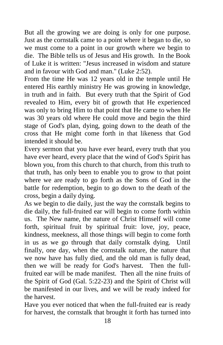But all the growing we are doing is only for one purpose. Just as the cornstalk came to a point where it began to die, so we must come to a point in our growth where we begin to die. The Bible tells us of Jesus and His growth. In the Book of Luke it is written: "Jesus increased in wisdom and stature and in favour with God and man." (Luke 2:52).

From the time He was 12 years old in the temple until He entered His earthly ministry He was growing in knowledge, in truth and in faith. But every truth that the Spirit of God revealed to Him, every bit of growth that He experienced was only to bring Him to that point that He came to when He was 30 years old where He could move and begin the third stage of God's plan, dying, going down to the death of the cross that He might come forth in that likeness that God intended it should be.

Every sermon that you have ever heard, every truth that you have ever heard, every place that the wind of God's Spirit has blown you, from this church to that church, from this truth to that truth, has only been to enable you to grow to that point where we are ready to go forth as the Sons of God in the battle for redemption, begin to go down to the death of the cross, begin a daily dying.

As we begin to die daily, just the way the cornstalk begins to die daily, the full-fruited ear will begin to come forth within us. The New name, the nature of Christ Himself will come forth, spiritual fruit by spiritual fruit: love, joy, peace, kindness, meekness, all those things will begin to come forth in us as we go through that daily cornstalk dying. Until finally, one day, when the cornstalk nature, the nature that we now have has fully died, and the old man is fully dead, then we will be ready for God's harvest. Then the fullfruited ear will be made manifest. Then all the nine fruits of the Spirit of God (Gal. 5:22-23) and the Spirit of Christ will be manifested in our lives, and we will be ready indeed for the harvest.

Have you ever noticed that when the full-fruited ear is ready for harvest, the cornstalk that brought it forth has turned into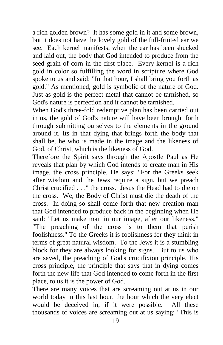a rich golden brown? It has some gold in it and some brown, but it does not have the lovely gold of the full-fruited ear we see. Each kernel manifests, when the ear has been shucked and laid out, the body that God intended to produce from the seed grain of corn in the first place. Every kernel is a rich gold in color so fulfilling the word in scripture where God spoke to us and said: "In that hour, I shall bring you forth as gold." As mentioned, gold is symbolic of the nature of God. Just as gold is the perfect metal that cannot be tarnished, so God's nature is perfection and it cannot be tarnished.

When God's three-fold redemptive plan has been carried out in us, the gold of God's nature will have been brought forth through submitting ourselves to the elements in the ground around it. Its in that dying that brings forth the body that shall be, he who is made in the image and the likeness of God, of Christ, which is the likeness of God.

Therefore the Spirit says through the Apostle Paul as He reveals that plan by which God intends to create man in His image, the cross principle, He says: "For the Greeks seek after wisdom and the Jews require a sign, but we preach Christ crucified . . ." the cross. Jesus the Head had to die on the cross. We, the Body of Christ must die the death of the cross. In doing so shall come forth that new creation man that God intended to produce back in the beginning when He said: "Let us make man in our image, after our likeness." "The preaching of the cross is to them that perish foolishness." To the Greeks it is foolishness for they think in terms of great natural wisdom. To the Jews it is a stumbling block for they are always looking for signs. But to us who are saved, the preaching of God's crucifixion principle, His cross principle, the principle that says that in dying comes forth the new life that God intended to come forth in the first place, to us it is the power of God.

There are many voices that are screaming out at us in our world today in this last hour, the hour which the very elect would be deceived in, if it were possible. All these thousands of voices are screaming out at us saying: "This is